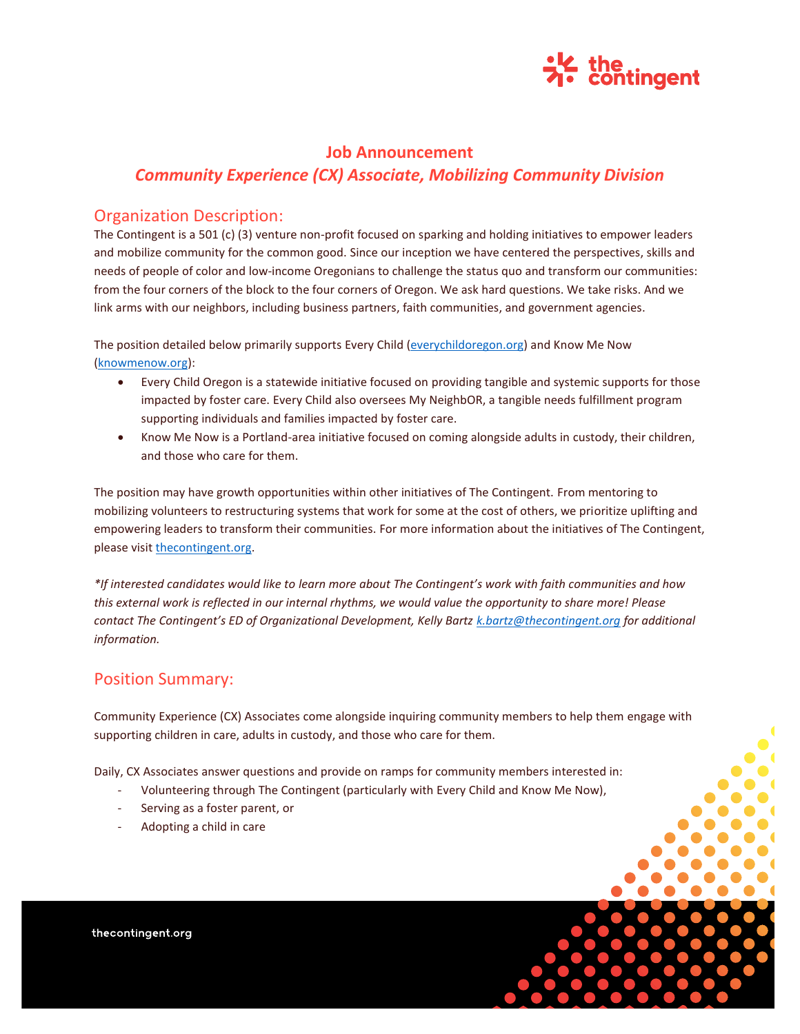

# **Job Announcement** *Community Experience (CX) Associate, Mobilizing Community Division*

### Organization Description:

The Contingent is a 501 (c) (3) venture non-profit focused on sparking and holding initiatives to empower leaders and mobilize community for the common good. Since our inception we have centered the perspectives, skills and needs of people of color and low-income Oregonians to challenge the status quo and transform our communities: from the four corners of the block to the four corners of Oregon. We ask hard questions. We take risks. And we link arms with our neighbors, including business partners, faith communities, and government agencies.

The position detailed below primarily supports Every Child [\(everychildoregon.org\)](http://everychildoregon.org/) and Know Me Now [\(knowmenow.org\)](https://www.knowmenow.org/):

- Every Child Oregon is a statewide initiative focused on providing tangible and systemic supports for those impacted by foster care. Every Child also oversees My NeighbOR, a tangible needs fulfillment program supporting individuals and families impacted by foster care.
- Know Me Now is a Portland-area initiative focused on coming alongside adults in custody, their children, and those who care for them.

The position may have growth opportunities within other initiatives of The Contingent. From mentoring to mobilizing volunteers to restructuring systems that work for some at the cost of others, we prioritize uplifting and empowering leaders to transform their communities. For more information about the initiatives of The Contingent, please visit [thecontingent.org.](https://thecontingent.org/)

*\*If interested candidates would like to learn more about The Contingent's work with faith communities and how this external work is reflected in our internal rhythms, we would value the opportunity to share more! Please contact The Contingent's ED of Organizational Development, Kelly Bartz [k.bartz@thecontingent.org](mailto:k.bartz@thecontingent.org) for additional information.* 

## Position Summary:

Community Experience (CX) Associates come alongside inquiring community members to help them engage with supporting children in care, adults in custody, and those who care for them.

Daily, CX Associates answer questions and provide on ramps for community members interested in:

- Volunteering through The Contingent (particularly with Every Child and Know Me Now),
- Serving as a foster parent, or
- Adopting a child in care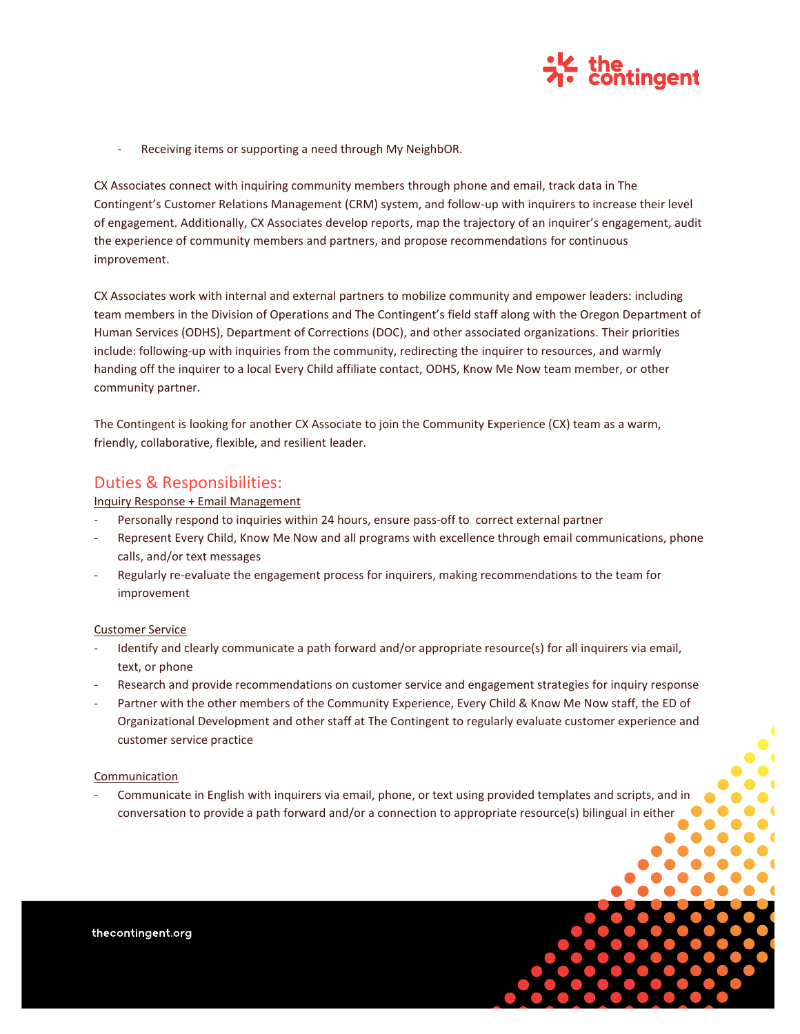

Receiving items or supporting a need through My NeighbOR.

CX Associates connect with inquiring community members through phone and email, track data in The Contingent's Customer Relations Management (CRM) system, and follow-up with inquirers to increase their level of engagement. Additionally, CX Associates develop reports, map the trajectory of an inquirer's engagement, audit the experience of community members and partners, and propose recommendations for continuous improvement.

CX Associates work with internal and external partners to mobilize community and empower leaders: including team members in the Division of Operations and The Contingent's field staff along with the Oregon Department of Human Services (ODHS), Department of Corrections (DOC), and other associated organizations. Their priorities include: following-up with inquiries from the community, redirecting the inquirer to resources, and warmly handing off the inquirer to a local Every Child affiliate contact, ODHS, Know Me Now team member, or other community partner.

The Contingent is looking for another CX Associate to join the Community Experience (CX) team as a warm, friendly, collaborative, flexible, and resilient leader.

### Duties & Responsibilities:

Inquiry Response + Email Management

- Personally respond to inquiries within 24 hours, ensure pass-off to correct external partner
- Represent Every Child, Know Me Now and all programs with excellence through email communications, phone calls, and/or text messages
- Regularly re-evaluate the engagement process for inquirers, making recommendations to the team for improvement

#### Customer Service

- Identify and clearly communicate a path forward and/or appropriate resource(s) for all inquirers via email, text, or phone
- Research and provide recommendations on customer service and engagement strategies for inquiry response
- Partner with the other members of the Community Experience, Every Child & Know Me Now staff, the ED of Organizational Development and other staff at The Contingent to regularly evaluate customer experience and customer service practice

#### Communication

- Communicate in English with inquirers via email, phone, or text using provided templates and scripts, and in conversation to provide a path forward and/or a connection to appropriate resource(s) bilingual in either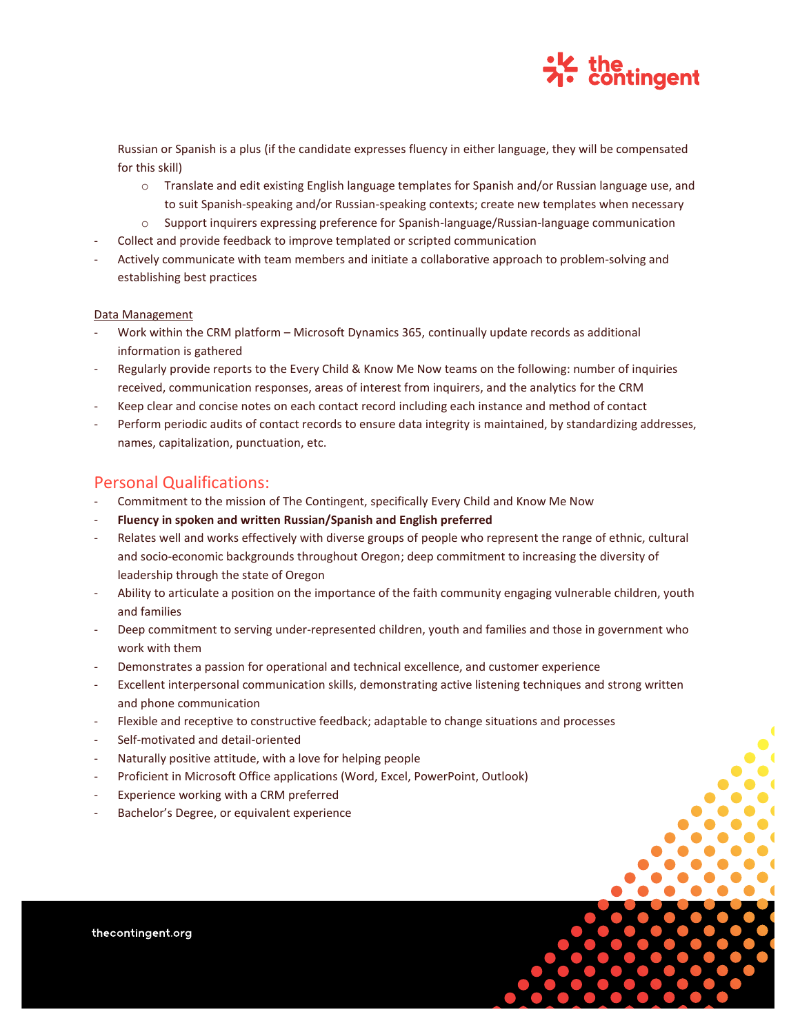

Russian or Spanish is a plus (if the candidate expresses fluency in either language, they will be compensated for this skill)

- o Translate and edit existing English language templates for Spanish and/or Russian language use, and to suit Spanish-speaking and/or Russian-speaking contexts; create new templates when necessary
- o Support inquirers expressing preference for Spanish-language/Russian-language communication
- Collect and provide feedback to improve templated or scripted communication
- Actively communicate with team members and initiate a collaborative approach to problem-solving and establishing best practices

#### Data Management

- Work within the CRM platform Microsoft Dynamics 365, continually update records as additional information is gathered
- Regularly provide reports to the Every Child & Know Me Now teams on the following: number of inquiries received, communication responses, areas of interest from inquirers, and the analytics for the CRM
- Keep clear and concise notes on each contact record including each instance and method of contact
- Perform periodic audits of contact records to ensure data integrity is maintained, by standardizing addresses, names, capitalization, punctuation, etc.

### Personal Qualifications:

- Commitment to the mission of The Contingent, specifically Every Child and Know Me Now
- **Fluency in spoken and written Russian/Spanish and English preferred**
- Relates well and works effectively with diverse groups of people who represent the range of ethnic, cultural and socio-economic backgrounds throughout Oregon; deep commitment to increasing the diversity of leadership through the state of Oregon
- Ability to articulate a position on the importance of the faith community engaging vulnerable children, youth and families
- Deep commitment to serving under-represented children, youth and families and those in government who work with them
- Demonstrates a passion for operational and technical excellence, and customer experience
- Excellent interpersonal communication skills, demonstrating active listening techniques and strong written and phone communication
- Flexible and receptive to constructive feedback; adaptable to change situations and processes
- Self-motivated and detail-oriented
- Naturally positive attitude, with a love for helping people
- Proficient in Microsoft Office applications (Word, Excel, PowerPoint, Outlook)
- Experience working with a CRM preferred
- Bachelor's Degree, or equivalent experience